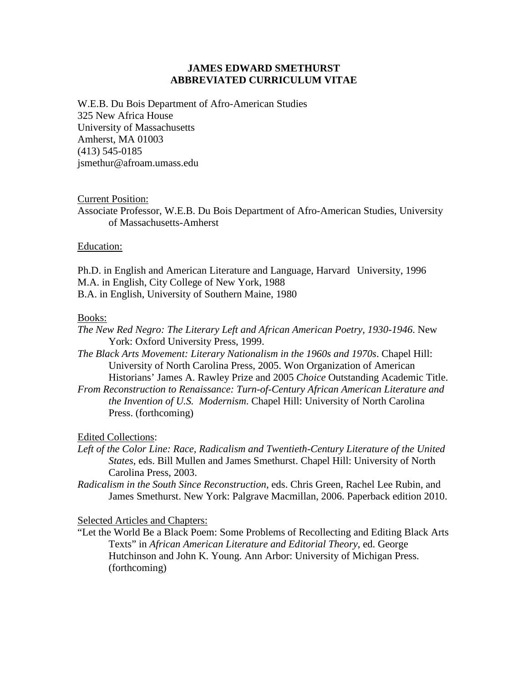# **JAMES EDWARD SMETHURST ABBREVIATED CURRICULUM VITAE**

W.E.B. Du Bois Department of Afro-American Studies 325 New Africa House University of Massachusetts Amherst, MA 01003 (413) 545-0185 jsmethur@afroam.umass.edu

## Current Position:

Associate Professor, W.E.B. Du Bois Department of Afro-American Studies, University of Massachusetts-Amherst

## Education:

Ph.D. in English and American Literature and Language, Harvard University, 1996 M.A. in English, City College of New York, 1988 B.A. in English, University of Southern Maine, 1980

## Books:

*The New Red Negro: The Literary Left and African American Poetry, 1930-1946*. New York: Oxford University Press, 1999.

*The Black Arts Movement: Literary Nationalism in the 1960s and 1970s*. Chapel Hill: University of North Carolina Press, 2005. Won Organization of American Historians' James A. Rawley Prize and 2005 *Choice* Outstanding Academic Title.

*From Reconstruction to Renaissance: Turn-of-Century African American Literature and the Invention of U.S. Modernism*. Chapel Hill: University of North Carolina Press. (forthcoming)

Edited Collections:

Left of the Color Line: Race, Radicalism and Twentieth-Century Literature of the United *States*, eds. Bill Mullen and James Smethurst. Chapel Hill: University of North Carolina Press, 2003.

*Radicalism in the South Since Reconstruction*, eds. Chris Green, Rachel Lee Rubin, and James Smethurst. New York: Palgrave Macmillan, 2006. Paperback edition 2010.

Selected Articles and Chapters:

"Let the World Be a Black Poem: Some Problems of Recollecting and Editing Black Arts Texts" in *African American Literature and Editorial Theory*, ed. George Hutchinson and John K. Young. Ann Arbor: University of Michigan Press. (forthcoming)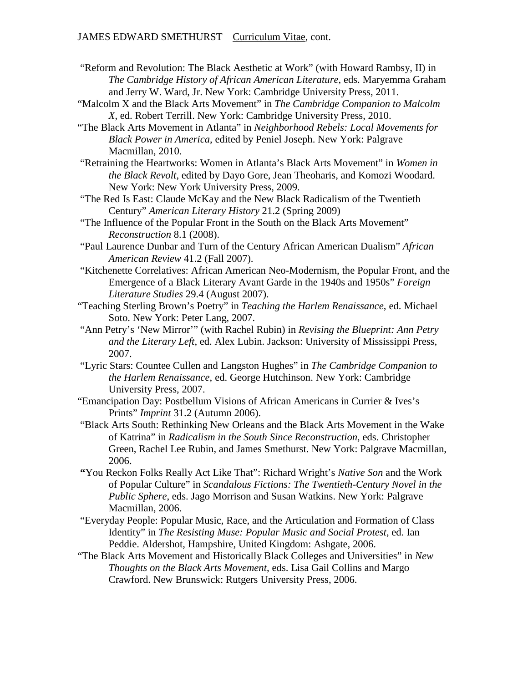- "Reform and Revolution: The Black Aesthetic at Work" (with Howard Rambsy, II) in *The Cambridge History of African American Literature*, eds. Maryemma Graham and Jerry W. Ward, Jr. New York: Cambridge University Press, 2011.
- "Malcolm X and the Black Arts Movement" in *The Cambridge Companion to Malcolm X*, ed. Robert Terrill. New York: Cambridge University Press, 2010.
- "The Black Arts Movement in Atlanta" in *Neighborhood Rebels: Local Movements for Black Power in America*, edited by Peniel Joseph. New York: Palgrave Macmillan, 2010.
- "Retraining the Heartworks: Women in Atlanta's Black Arts Movement" in *Women in the Black Revolt*, edited by Dayo Gore, Jean Theoharis, and Komozi Woodard. New York: New York University Press, 2009.
- "The Red Is East: Claude McKay and the New Black Radicalism of the Twentieth Century" *American Literary History* 21.2 (Spring 2009)
- "The Influence of the Popular Front in the South on the Black Arts Movement" *Reconstruction* 8.1 (2008).
- "Paul Laurence Dunbar and Turn of the Century African American Dualism" *African American Review* 41.2 (Fall 2007).
- "Kitchenette Correlatives: African American Neo-Modernism, the Popular Front, and the Emergence of a Black Literary Avant Garde in the 1940s and 1950s" *Foreign Literature Studies* 29.4 (August 2007).
- "Teaching Sterling Brown's Poetry" in *Teaching the Harlem Renaissance*, ed. Michael Soto. New York: Peter Lang, 2007.
- "Ann Petry's 'New Mirror'" (with Rachel Rubin) in *Revising the Blueprint: Ann Petry and the Literary Left*, ed. Alex Lubin. Jackson: University of Mississippi Press, 2007.
- "Lyric Stars: Countee Cullen and Langston Hughes" in *The Cambridge Companion to the Harlem Renaissance*, ed. George Hutchinson. New York: Cambridge University Press, 2007.
- "Emancipation Day: Postbellum Visions of African Americans in Currier & Ives's Prints" *Imprint* 31.2 (Autumn 2006).
- "Black Arts South: Rethinking New Orleans and the Black Arts Movement in the Wake of Katrina" in *Radicalism in the South Since Reconstruction*, eds. Christopher Green, Rachel Lee Rubin, and James Smethurst. New York: Palgrave Macmillan, 2006.
- **"**You Reckon Folks Really Act Like That": Richard Wright's *Native Son* and the Work of Popular Culture" in *Scandalous Fictions: The Twentieth-Century Novel in the Public Sphere*, eds. Jago Morrison and Susan Watkins. New York: Palgrave Macmillan, 2006.
- "Everyday People: Popular Music, Race, and the Articulation and Formation of Class Identity" in *The Resisting Muse: Popular Music and Social Protest*, ed. Ian Peddie. Aldershot, Hampshire, United Kingdom: Ashgate, 2006.
- "The Black Arts Movement and Historically Black Colleges and Universities" in *New Thoughts on the Black Arts Movement*, eds. Lisa Gail Collins and Margo Crawford. New Brunswick: Rutgers University Press, 2006.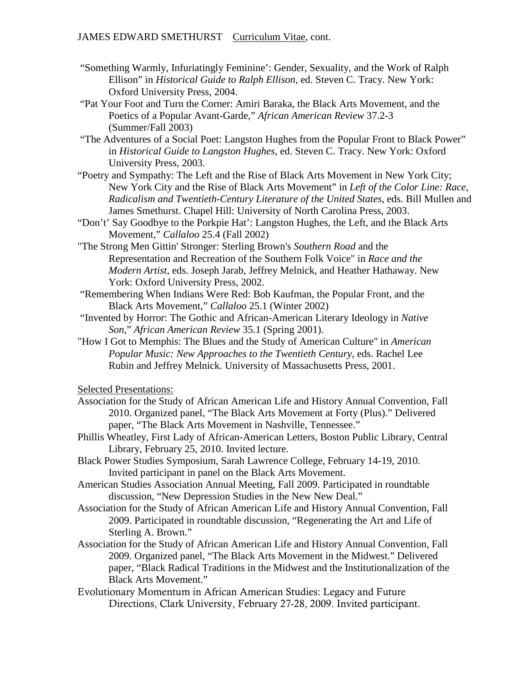- "Something Warmly, Infuriatingly Feminine': Gender, Sexuality, and the Work of Ralph Ellison" in *Historical Guide to Ralph Ellison*, ed. Steven C. Tracy. New York: Oxford University Press, 2004.
- "Pat Your Foot and Turn the Corner: Amiri Baraka, the Black Arts Movement, and the Poetics of a Popular Avant-Garde," *African American Review* 37.2-3 (Summer/Fall 2003)
- "The Adventures of a Social Poet: Langston Hughes from the Popular Front to Black Power" in *Historical Guide to Langston Hughes*, ed. Steven C. Tracy. New York: Oxford University Press, 2003.
- "Poetry and Sympathy: The Left and the Rise of Black Arts Movement in New York City; New York City and the Rise of Black Arts Movement" in *Left of the Color Line: Race, Radicalism and Twentieth-Century Literature of the United States*, eds. Bill Mullen and James Smethurst. Chapel Hill: University of North Carolina Press, 2003.
- "Don't' Say Goodbye to the Porkpie Hat': Langston Hughes, the Left, and the Black Arts Movement," *Callaloo* 25.4 (Fall 2002)
- "The Strong Men Gittin' Stronger: Sterling Brown's *Southern Road* and the Representation and Recreation of the Southern Folk Voice" in *Race and the Modern Artist*, eds. Joseph Jarab, Jeffrey Melnick, and Heather Hathaway. New York: Oxford University Press, 2002.
- "Remembering When Indians Were Red: Bob Kaufman, the Popular Front, and the Black Arts Movement," *Callaloo* 25.1 (Winter 2002)
- "Invented by Horror: The Gothic and African-American Literary Ideology in *Native Son*," *African American Review* 35.1 (Spring 2001).
- "How I Got to Memphis: The Blues and the Study of American Culture" in *American Popular Music: New Approaches to the Twentieth Century*, eds. Rachel Lee Rubin and Jeffrey Melnick. University of Massachusetts Press, 2001.

Selected Presentations:

- Association for the Study of African American Life and History Annual Convention, Fall 2010. Organized panel, "The Black Arts Movement at Forty (Plus)." Delivered paper, "The Black Arts Movement in Nashville, Tennessee."
- Phillis Wheatley, First Lady of African-American Letters, Boston Public Library, Central Library, February 25, 2010. Invited lecture.
- Black Power Studies Symposium, Sarah Lawrence College, February 14-19, 2010. Invited participant in panel on the Black Arts Movement.
- American Studies Association Annual Meeting, Fall 2009. Participated in roundtable discussion, "New Depression Studies in the New New Deal."
- Association for the Study of African American Life and History Annual Convention, Fall 2009. Participated in roundtable discussion, "Regenerating the Art and Life of Sterling A. Brown."
- Association for the Study of African American Life and History Annual Convention, Fall 2009. Organized panel, "The Black Arts Movement in the Midwest." Delivered paper, "Black Radical Traditions in the Midwest and the Institutionalization of the Black Arts Movement."
- Evolutionary Momentum in African American Studies: Legacy and Future Directions, Clark University, February 27-28, 2009. Invited participant.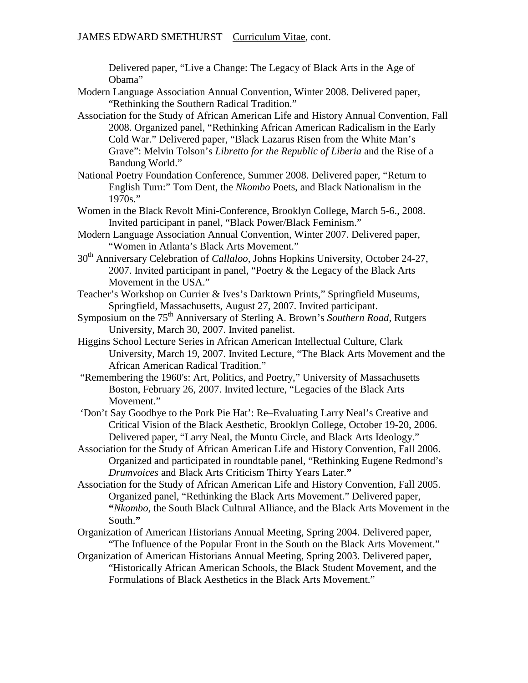# JAMES EDWARD SMETHURST Curriculum Vitae, cont.

Delivered paper, "Live a Change: The Legacy of Black Arts in the Age of Obama"

- Modern Language Association Annual Convention, Winter 2008. Delivered paper, "Rethinking the Southern Radical Tradition."
- Association for the Study of African American Life and History Annual Convention, Fall 2008. Organized panel, "Rethinking African American Radicalism in the Early Cold War." Delivered paper, "Black Lazarus Risen from the White Man's Grave": Melvin Tolson's *Libretto for the Republic of Liberia* and the Rise of a Bandung World."
- National Poetry Foundation Conference, Summer 2008. Delivered paper, "Return to English Turn:" Tom Dent, the *Nkombo* Poets, and Black Nationalism in the 1970s."
- Women in the Black Revolt Mini-Conference, Brooklyn College, March 5-6., 2008. Invited participant in panel, "Black Power/Black Feminism."
- Modern Language Association Annual Convention, Winter 2007. Delivered paper, "Women in Atlanta's Black Arts Movement."
- 30th Anniversary Celebration of *Callaloo*, Johns Hopkins University, October 24-27, 2007. Invited participant in panel, "Poetry & the Legacy of the Black Arts Movement in the USA."
- Teacher's Workshop on Currier & Ives's Darktown Prints," Springfield Museums, Springfield, Massachusetts, August 27, 2007. Invited participant.
- Symposium on the 75<sup>th</sup> Anniversary of Sterling A. Brown's *Southern Road*, Rutgers University, March 30, 2007. Invited panelist.
- Higgins School Lecture Series in African American Intellectual Culture, Clark University, March 19, 2007. Invited Lecture, "The Black Arts Movement and the African American Radical Tradition."
- "Remembering the 1960's: Art, Politics, and Poetry," University of Massachusetts Boston, February 26, 2007. Invited lecture, "Legacies of the Black Arts Movement."
- 'Don't Say Goodbye to the Pork Pie Hat': Re–Evaluating Larry Neal's Creative and Critical Vision of the Black Aesthetic, Brooklyn College, October 19-20, 2006. Delivered paper, "Larry Neal, the Muntu Circle, and Black Arts Ideology."
- Association for the Study of African American Life and History Convention, Fall 2006. Organized and participated in roundtable panel, "Rethinking Eugene Redmond's *Drumvoices* and Black Arts Criticism Thirty Years Later.**"**
- Association for the Study of African American Life and History Convention, Fall 2005. Organized panel, "Rethinking the Black Arts Movement." Delivered paper, **"***Nkombo*, the South Black Cultural Alliance, and the Black Arts Movement in the South.**"**
- Organization of American Historians Annual Meeting, Spring 2004. Delivered paper, "The Influence of the Popular Front in the South on the Black Arts Movement."
- Organization of American Historians Annual Meeting, Spring 2003. Delivered paper, "Historically African American Schools, the Black Student Movement, and the Formulations of Black Aesthetics in the Black Arts Movement."